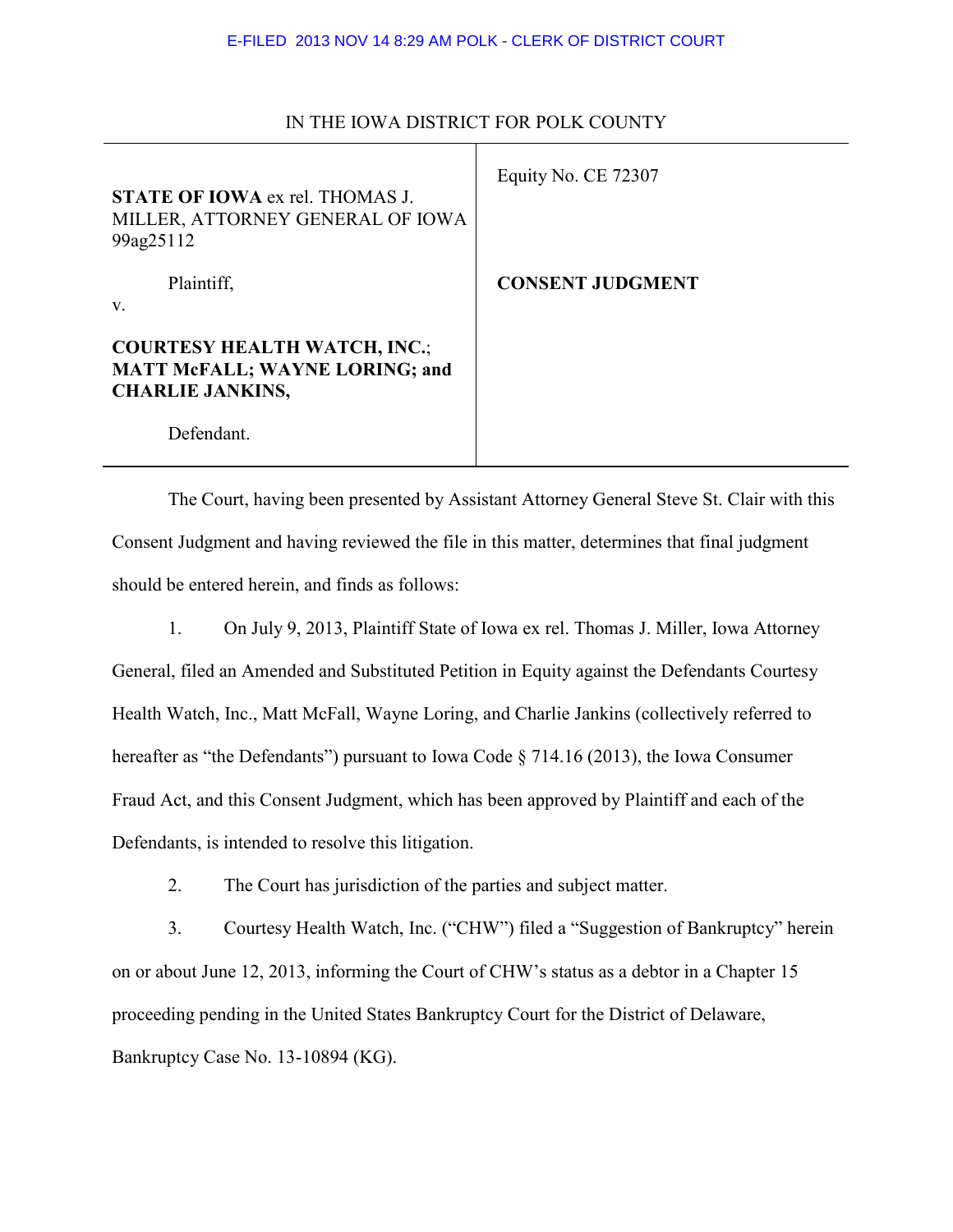| <b>STATE OF IOWA ex rel. THOMAS J.</b><br>MILLER, ATTORNEY GENERAL OF IOWA<br>99ag25112                 | Equity No. CE 72307     |
|---------------------------------------------------------------------------------------------------------|-------------------------|
| Plaintiff,<br>V.                                                                                        | <b>CONSENT JUDGMENT</b> |
| <b>COURTESY HEALTH WATCH, INC.;</b><br><b>MATT McFALL; WAYNE LORING; and</b><br><b>CHARLIE JANKINS,</b> |                         |
| Defendant.                                                                                              |                         |

## IN THE IOWA DISTRICT FOR POLK COUNTY

 The Court, having been presented by Assistant Attorney General Steve St. Clair with this Consent Judgment and having reviewed the file in this matter, determines that final judgment should be entered herein, and finds as follows:

1. On July 9, 2013, Plaintiff State of Iowa ex rel. Thomas J. Miller, Iowa Attorney General, filed an Amended and Substituted Petition in Equity against the Defendants Courtesy Health Watch, Inc., Matt McFall, Wayne Loring, and Charlie Jankins (collectively referred to hereafter as "the Defendants") pursuant to Iowa Code § 714.16 (2013), the Iowa Consumer Fraud Act, and this Consent Judgment, which has been approved by Plaintiff and each of the Defendants, is intended to resolve this litigation.

2. The Court has jurisdiction of the parties and subject matter.

3. Courtesy Health Watch, Inc. ("CHW") filed a "Suggestion of Bankruptcy" herein on or about June 12, 2013, informing the Court of CHW's status as a debtor in a Chapter 15 proceeding pending in the United States Bankruptcy Court for the District of Delaware, Bankruptcy Case No. 13-10894 (KG).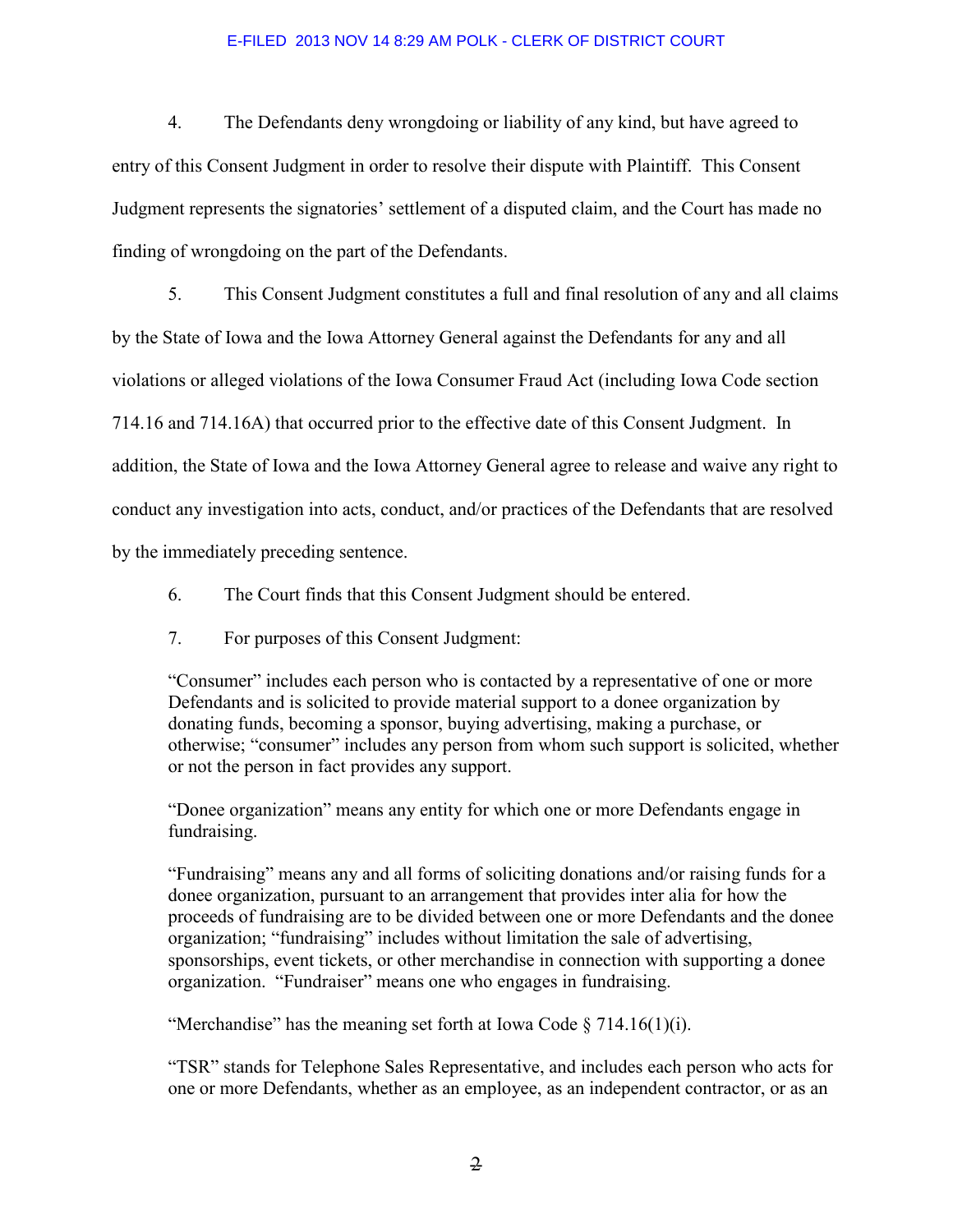4. The Defendants deny wrongdoing or liability of any kind, but have agreed to entry of this Consent Judgment in order to resolve their dispute with Plaintiff. This Consent Judgment represents the signatories' settlement of a disputed claim, and the Court has made no finding of wrongdoing on the part of the Defendants.

5. This Consent Judgment constitutes a full and final resolution of any and all claims by the State of Iowa and the Iowa Attorney General against the Defendants for any and all violations or alleged violations of the Iowa Consumer Fraud Act (including Iowa Code section 714.16 and 714.16A) that occurred prior to the effective date of this Consent Judgment. In addition, the State of Iowa and the Iowa Attorney General agree to release and waive any right to conduct any investigation into acts, conduct, and/or practices of the Defendants that are resolved by the immediately preceding sentence.

6. The Court finds that this Consent Judgment should be entered.

7. For purposes of this Consent Judgment:

"Consumer" includes each person who is contacted by a representative of one or more Defendants and is solicited to provide material support to a donee organization by donating funds, becoming a sponsor, buying advertising, making a purchase, or otherwise; "consumer" includes any person from whom such support is solicited, whether or not the person in fact provides any support.

"Donee organization" means any entity for which one or more Defendants engage in fundraising.

"Fundraising" means any and all forms of soliciting donations and/or raising funds for a donee organization, pursuant to an arrangement that provides inter alia for how the proceeds of fundraising are to be divided between one or more Defendants and the donee organization; "fundraising" includes without limitation the sale of advertising, sponsorships, event tickets, or other merchandise in connection with supporting a donee organization. "Fundraiser" means one who engages in fundraising.

"Merchandise" has the meaning set forth at Iowa Code  $\S 714.16(1)(i)$ .

"TSR" stands for Telephone Sales Representative, and includes each person who acts for one or more Defendants, whether as an employee, as an independent contractor, or as an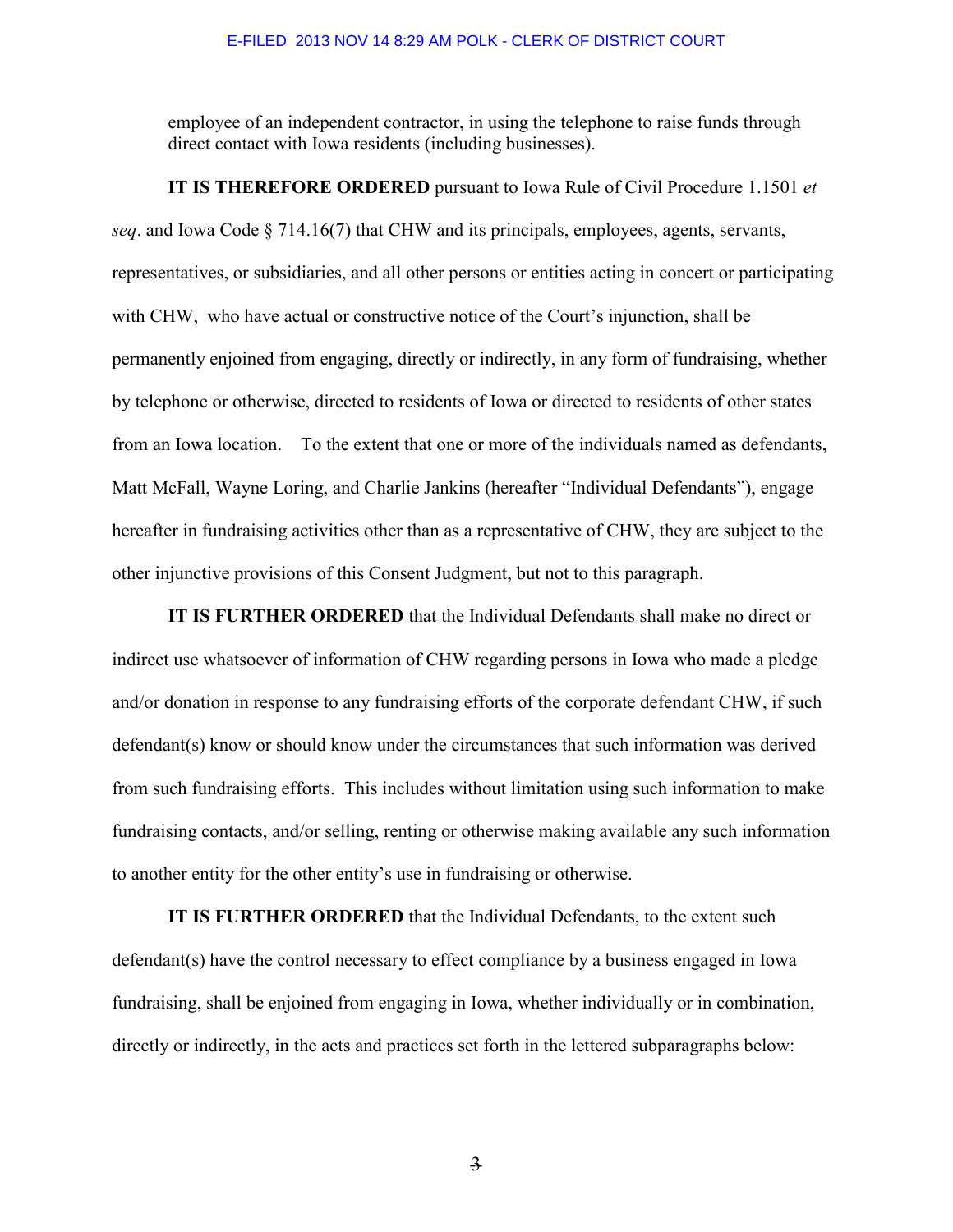employee of an independent contractor, in using the telephone to raise funds through direct contact with Iowa residents (including businesses).

 **IT IS THEREFORE ORDERED** pursuant to Iowa Rule of Civil Procedure 1.1501 *et seq*. and Iowa Code § 714.16(7) that CHW and its principals, employees, agents, servants, representatives, or subsidiaries, and all other persons or entities acting in concert or participating with CHW, who have actual or constructive notice of the Court's injunction, shall be permanently enjoined from engaging, directly or indirectly, in any form of fundraising, whether by telephone or otherwise, directed to residents of Iowa or directed to residents of other states from an Iowa location. To the extent that one or more of the individuals named as defendants, Matt McFall, Wayne Loring, and Charlie Jankins (hereafter "Individual Defendants"), engage hereafter in fundraising activities other than as a representative of CHW, they are subject to the other injunctive provisions of this Consent Judgment, but not to this paragraph.

**IT IS FURTHER ORDERED** that the Individual Defendants shall make no direct or indirect use whatsoever of information of CHW regarding persons in Iowa who made a pledge and/or donation in response to any fundraising efforts of the corporate defendant CHW, if such defendant(s) know or should know under the circumstances that such information was derived from such fundraising efforts. This includes without limitation using such information to make fundraising contacts, and/or selling, renting or otherwise making available any such information to another entity for the other entity's use in fundraising or otherwise.

**IT IS FURTHER ORDERED** that the Individual Defendants, to the extent such defendant(s) have the control necessary to effect compliance by a business engaged in Iowa fundraising, shall be enjoined from engaging in Iowa, whether individually or in combination, directly or indirectly, in the acts and practices set forth in the lettered subparagraphs below:

 $\overline{\mathbf{3}}$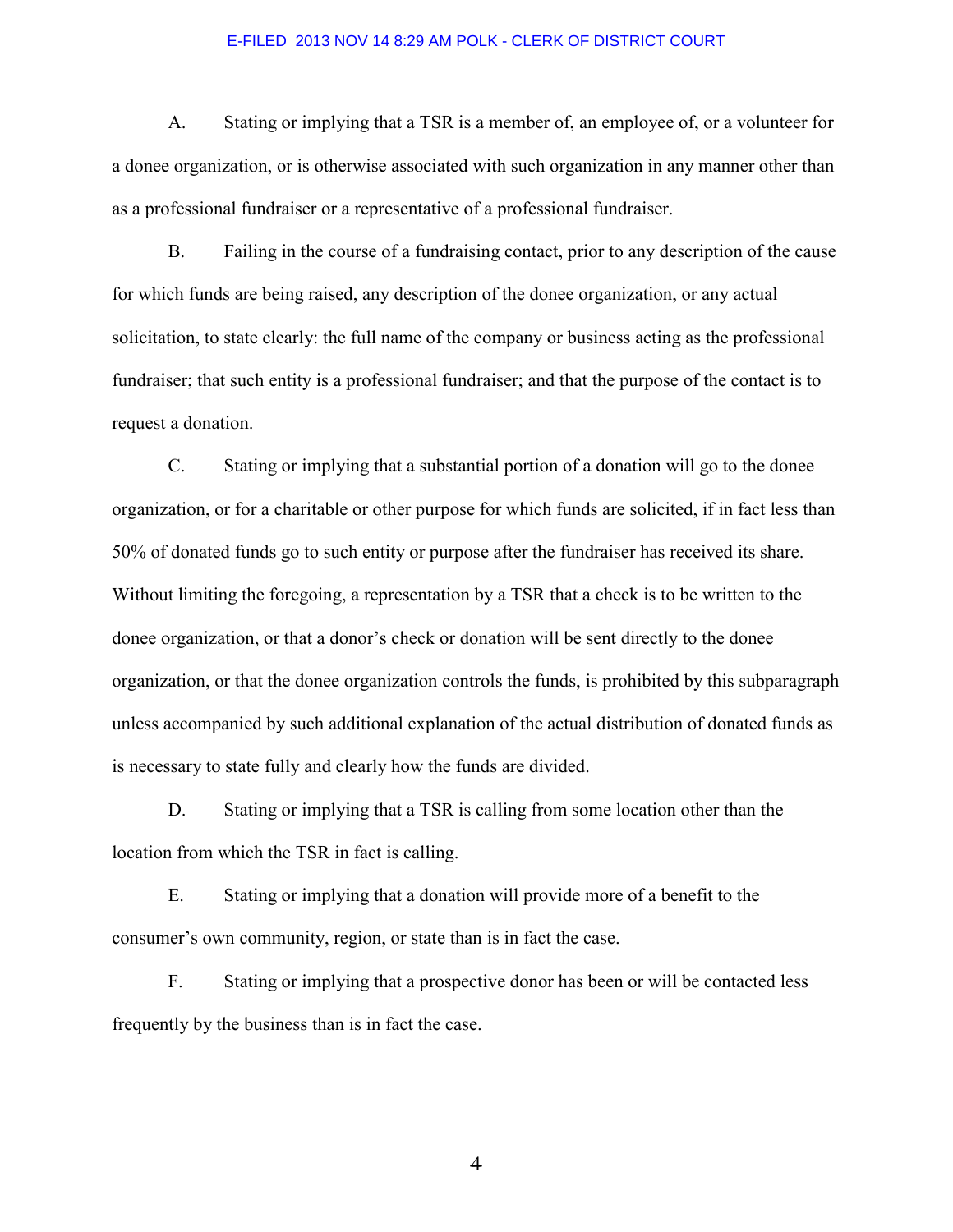A. Stating or implying that a TSR is a member of, an employee of, or a volunteer for a donee organization, or is otherwise associated with such organization in any manner other than as a professional fundraiser or a representative of a professional fundraiser.

B. Failing in the course of a fundraising contact, prior to any description of the cause for which funds are being raised, any description of the donee organization, or any actual solicitation, to state clearly: the full name of the company or business acting as the professional fundraiser; that such entity is a professional fundraiser; and that the purpose of the contact is to request a donation.

C. Stating or implying that a substantial portion of a donation will go to the donee organization, or for a charitable or other purpose for which funds are solicited, if in fact less than 50% of donated funds go to such entity or purpose after the fundraiser has received its share. Without limiting the foregoing, a representation by a TSR that a check is to be written to the donee organization, or that a donor's check or donation will be sent directly to the donee organization, or that the donee organization controls the funds, is prohibited by this subparagraph unless accompanied by such additional explanation of the actual distribution of donated funds as is necessary to state fully and clearly how the funds are divided.

D. Stating or implying that a TSR is calling from some location other than the location from which the TSR in fact is calling.

E. Stating or implying that a donation will provide more of a benefit to the consumer's own community, region, or state than is in fact the case.

F. Stating or implying that a prospective donor has been or will be contacted less frequently by the business than is in fact the case.

 $\overline{4}$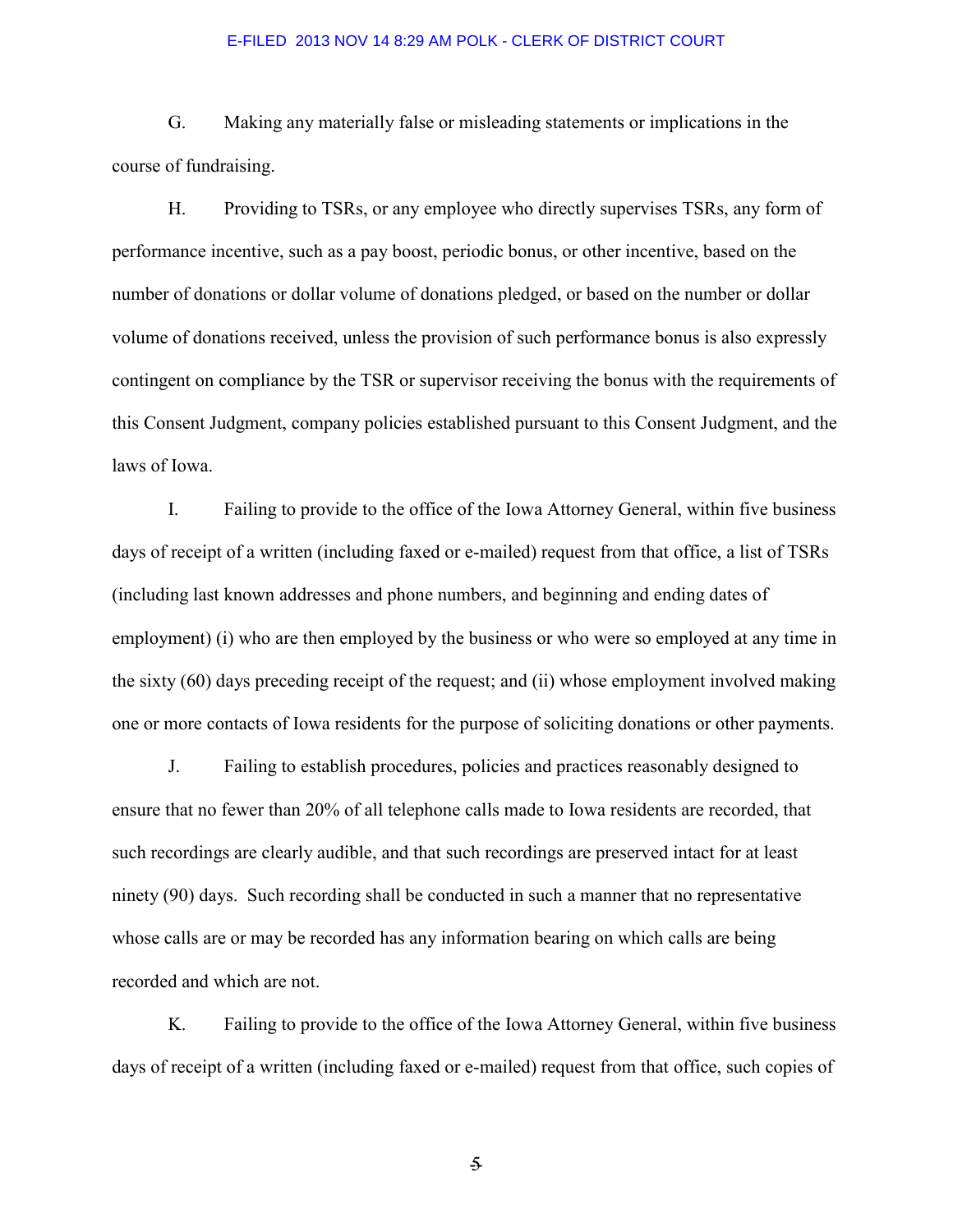G. Making any materially false or misleading statements or implications in the course of fundraising.

H. Providing to TSRs, or any employee who directly supervises TSRs, any form of performance incentive, such as a pay boost, periodic bonus, or other incentive, based on the number of donations or dollar volume of donations pledged, or based on the number or dollar volume of donations received, unless the provision of such performance bonus is also expressly contingent on compliance by the TSR or supervisor receiving the bonus with the requirements of this Consent Judgment, company policies established pursuant to this Consent Judgment, and the laws of Iowa.

I. Failing to provide to the office of the Iowa Attorney General, within five business days of receipt of a written (including faxed or e-mailed) request from that office, a list of TSRs (including last known addresses and phone numbers, and beginning and ending dates of employment) (i) who are then employed by the business or who were so employed at any time in the sixty (60) days preceding receipt of the request; and (ii) whose employment involved making one or more contacts of Iowa residents for the purpose of soliciting donations or other payments.

J. Failing to establish procedures, policies and practices reasonably designed to ensure that no fewer than 20% of all telephone calls made to Iowa residents are recorded, that such recordings are clearly audible, and that such recordings are preserved intact for at least ninety (90) days. Such recording shall be conducted in such a manner that no representative whose calls are or may be recorded has any information bearing on which calls are being recorded and which are not.

K. Failing to provide to the office of the Iowa Attorney General, within five business days of receipt of a written (including faxed or e-mailed) request from that office, such copies of

 $\overline{\mathcal{F}}$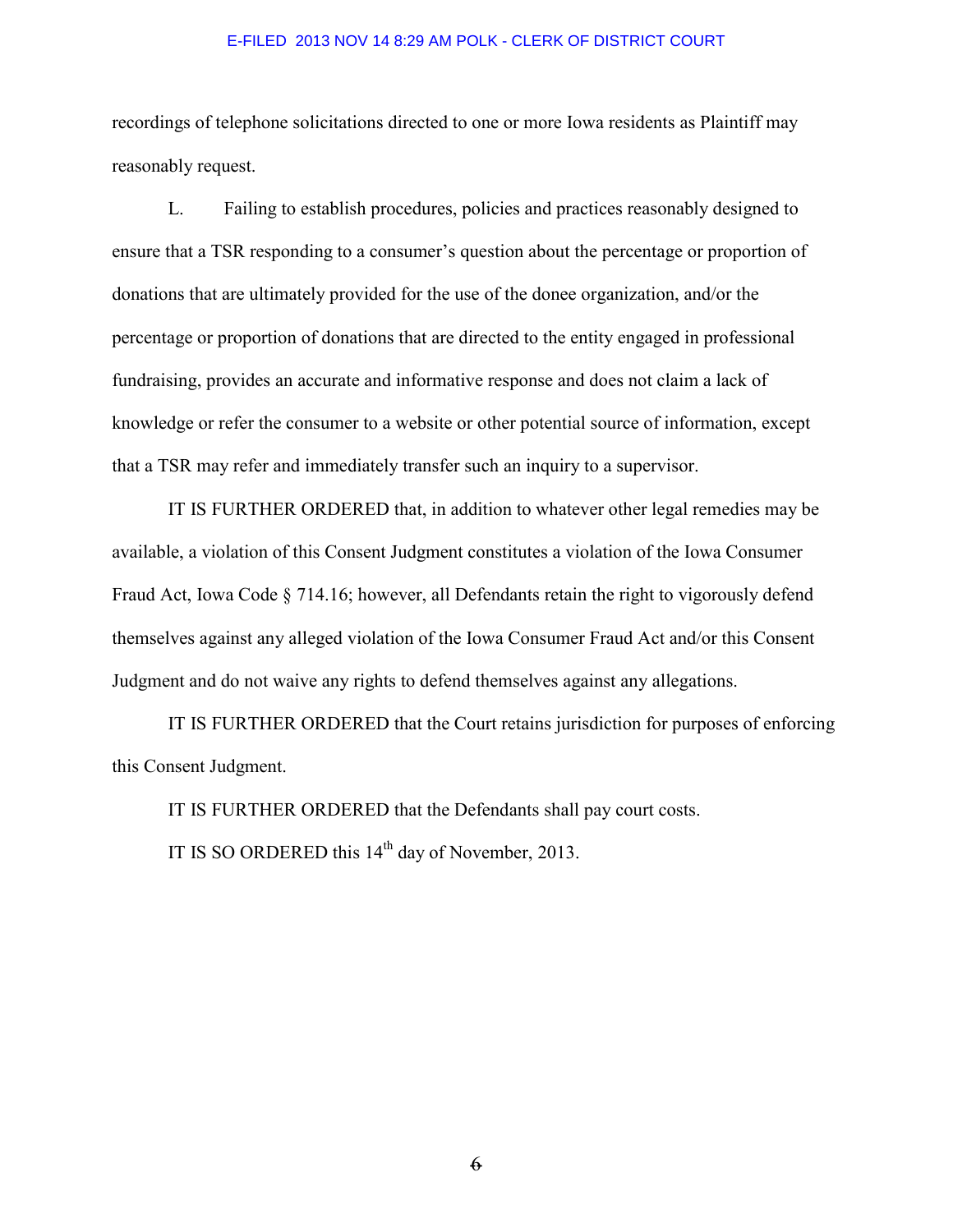recordings of telephone solicitations directed to one or more Iowa residents as Plaintiff may reasonably request.

L. Failing to establish procedures, policies and practices reasonably designed to ensure that a TSR responding to a consumer's question about the percentage or proportion of donations that are ultimately provided for the use of the donee organization, and/or the percentage or proportion of donations that are directed to the entity engaged in professional fundraising, provides an accurate and informative response and does not claim a lack of knowledge or refer the consumer to a website or other potential source of information, except that a TSR may refer and immediately transfer such an inquiry to a supervisor.

 IT IS FURTHER ORDERED that, in addition to whatever other legal remedies may be available, a violation of this Consent Judgment constitutes a violation of the Iowa Consumer Fraud Act, Iowa Code § 714.16; however, all Defendants retain the right to vigorously defend themselves against any alleged violation of the Iowa Consumer Fraud Act and/or this Consent Judgment and do not waive any rights to defend themselves against any allegations.

 IT IS FURTHER ORDERED that the Court retains jurisdiction for purposes of enforcing this Consent Judgment.

IT IS FURTHER ORDERED that the Defendants shall pay court costs.

IT IS SO ORDERED this  $14<sup>th</sup>$  day of November, 2013.

 $6 -$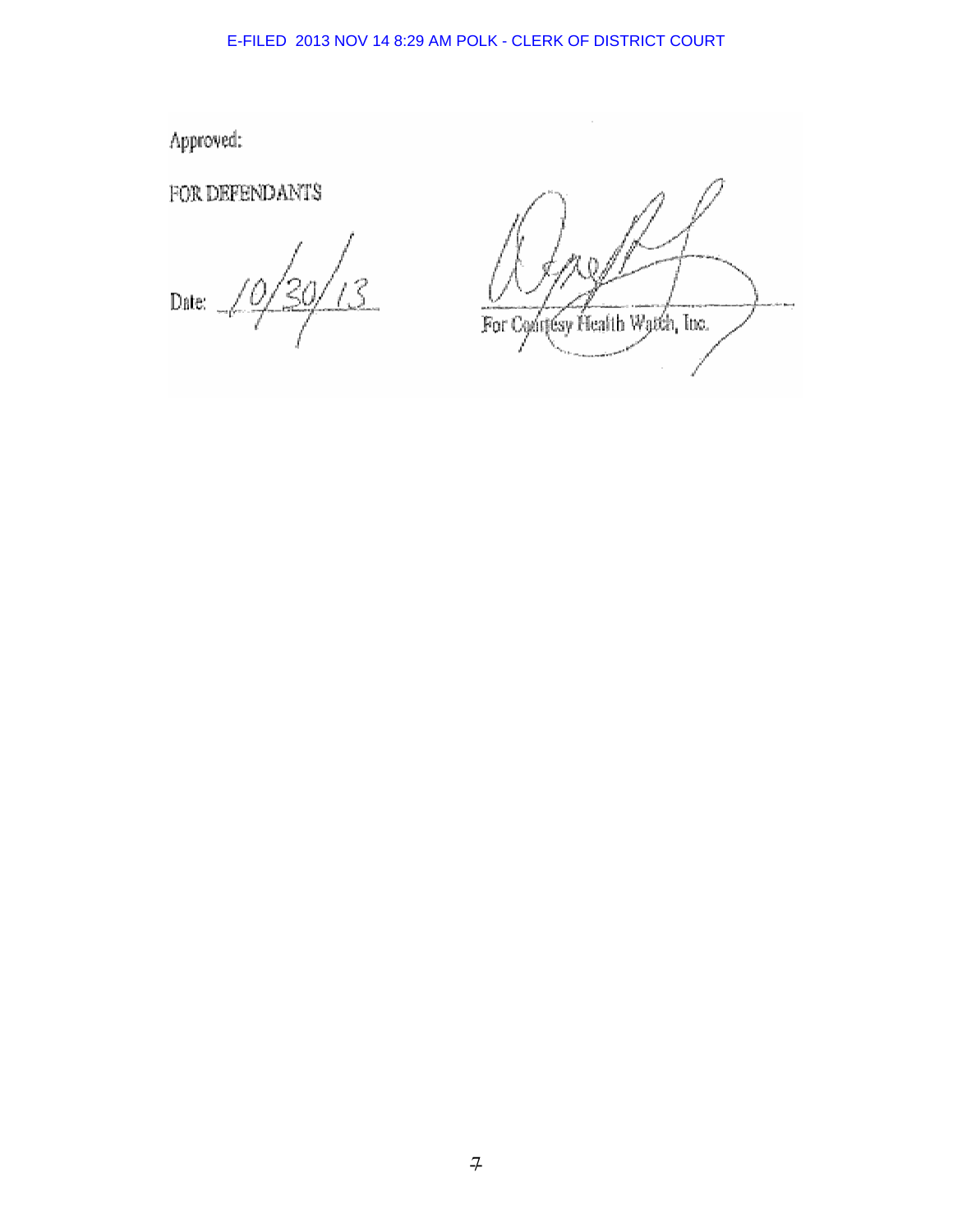Approved:

FOR DEFENDANTS

 $\text{Date:}$ 

For Confesy Health Watch, Inc.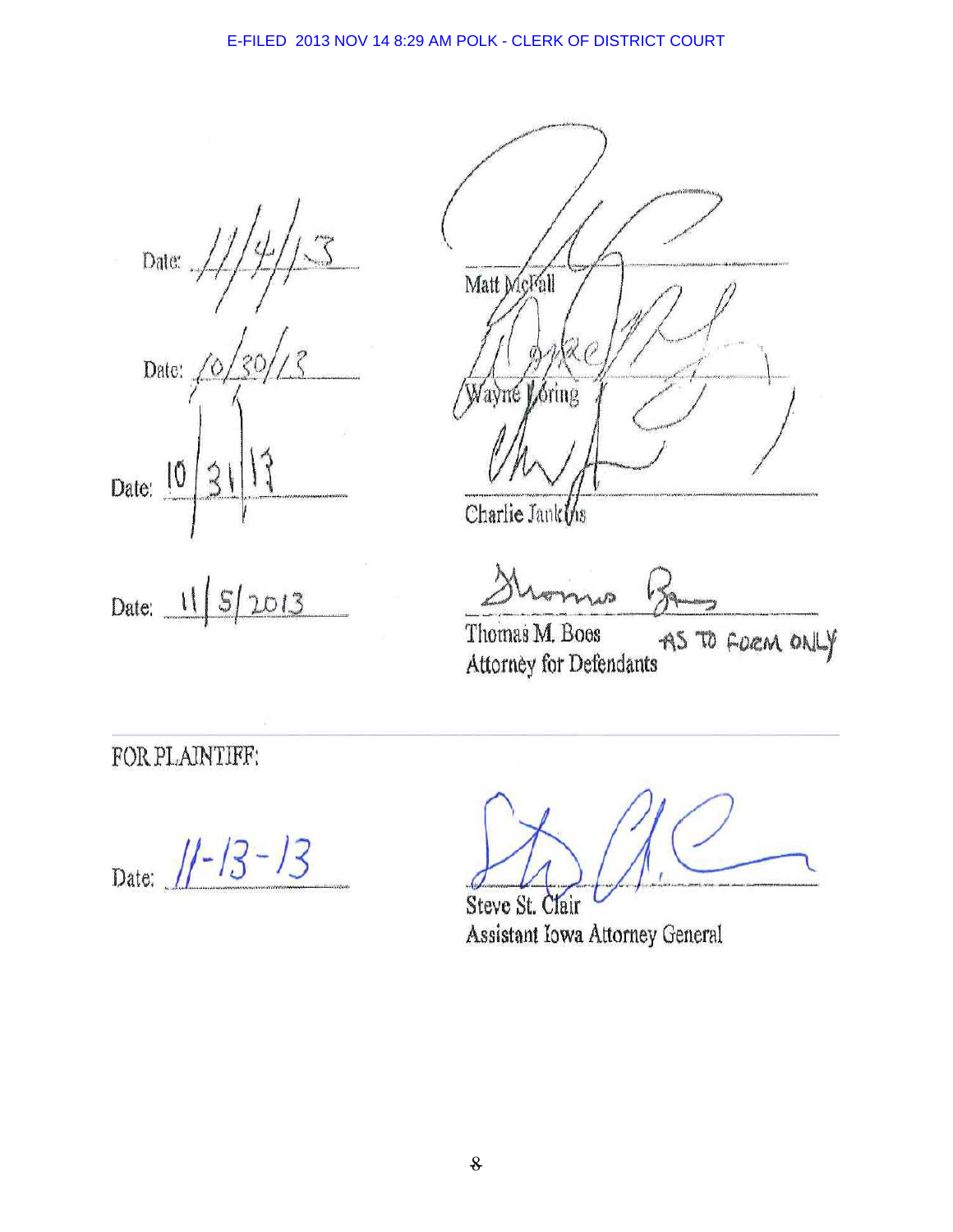Date: Date: 10 Date:  $\frac{10}{10}$  $2013$  $S$ Date:  $\frac{11}{1}$ 



Charlie Jank ths

Thomas M. Boos AS TO FORM ONLY Attorney for Defendants

FOR PLAINTIFF:

Date:  $1/-13-13$ 

Steve St. Clair Assistant Iowa Attorney General